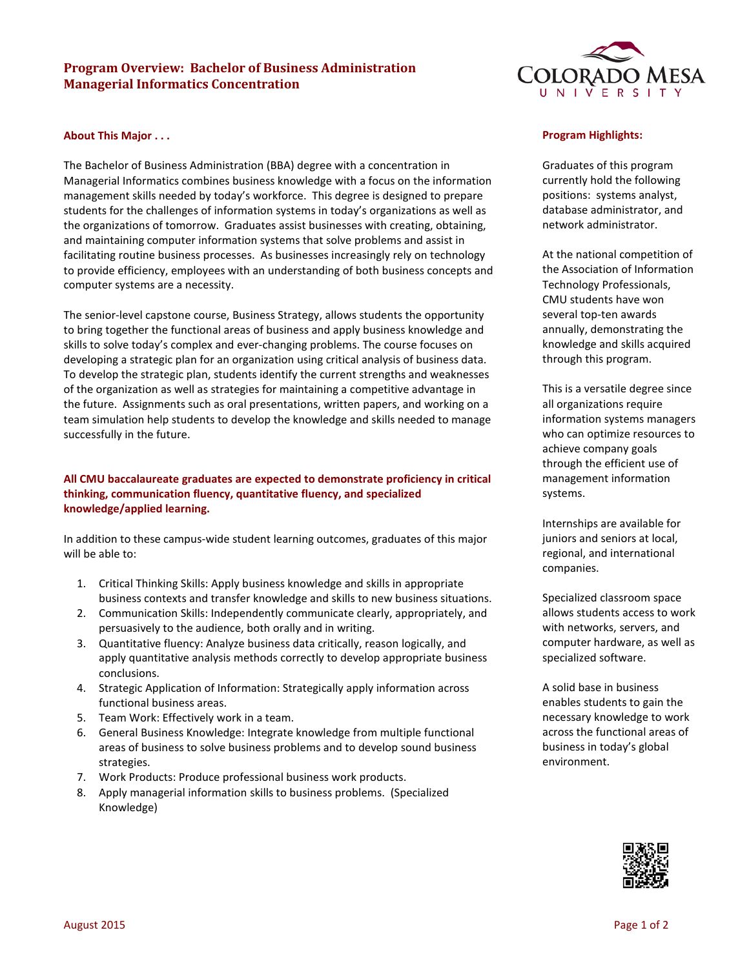# **Program Overview: Bachelor of Business Administration Managerial Informatics Concentration**

# **COLORADO MESA**

#### **About This Major . . .**

The Bachelor of Business Administration (BBA) degree with a concentration in Managerial Informatics combines business knowledge with a focus on the information management skills needed by today's workforce. This degree is designed to prepare students for the challenges of information systems in today's organizations as well as the organizations of tomorrow. Graduates assist businesses with creating, obtaining, and maintaining computer information systems that solve problems and assist in facilitating routine business processes. As businesses increasingly rely on technology to provide efficiency, employees with an understanding of both business concepts and computer systems are a necessity.

The senior-level capstone course, Business Strategy, allows students the opportunity to bring together the functional areas of business and apply business knowledge and skills to solve today's complex and ever-changing problems. The course focuses on developing a strategic plan for an organization using critical analysis of business data. To develop the strategic plan, students identify the current strengths and weaknesses of the organization as well as strategies for maintaining a competitive advantage in the future. Assignments such as oral presentations, written papers, and working on a team simulation help students to develop the knowledge and skills needed to manage successfully in the future.

## **All CMU baccalaureate graduates are expected to demonstrate proficiency in critical thinking, communication fluency, quantitative fluency, and specialized knowledge/applied learning.**

In addition to these campus-wide student learning outcomes, graduates of this major will be able to:

- 1. Critical Thinking Skills: Apply business knowledge and skills in appropriate business contexts and transfer knowledge and skills to new business situations.
- 2. Communication Skills: Independently communicate clearly, appropriately, and persuasively to the audience, both orally and in writing.
- 3. Quantitative fluency: Analyze business data critically, reason logically, and apply quantitative analysis methods correctly to develop appropriate business conclusions.
- 4. Strategic Application of Information: Strategically apply information across functional business areas.
- 5. Team Work: Effectively work in a team.
- 6. General Business Knowledge: Integrate knowledge from multiple functional areas of business to solve business problems and to develop sound business strategies.
- 7. Work Products: Produce professional business work products.
- 8. Apply managerial information skills to business problems. (Specialized Knowledge)

#### **Program Highlights:**

Graduates of this program currently hold the following positions: systems analyst, database administrator, and network administrator.

At the national competition of the Association of Information Technology Professionals, CMU students have won several top-ten awards annually, demonstrating the knowledge and skills acquired through this program.

This is a versatile degree since all organizations require information systems managers who can optimize resources to achieve company goals through the efficient use of management information systems.

Internships are available for juniors and seniors at local, regional, and international companies.

Specialized classroom space allows students access to work with networks, servers, and computer hardware, as well as specialized software.

A solid base in business enables students to gain the necessary knowledge to work across the functional areas of business in today's global environment.